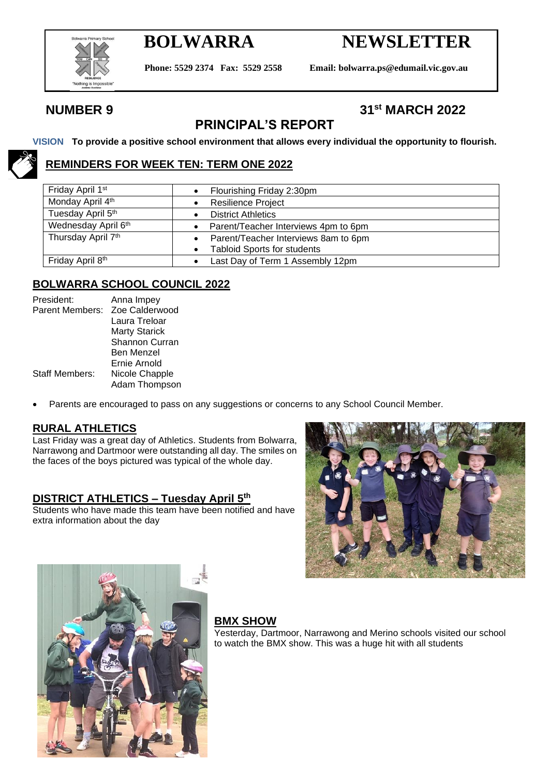

# **BOLWARRA NEWSLETTER**

**Phone: 5529 2374 Fax: 5529 2558 Email: bolwarra.ps@edumail.vic.gov.au**

## **NUMBER 9 31st MARCH 2022**

# **PRINCIPAL'S REPORT**

#### **VISION To provide a positive school environment that allows every individual the opportunity to flourish.**

### **REMINDERS FOR WEEK TEN: TERM ONE 2022**

| Friday April 1 <sup>st</sup> | Flourishing Friday 2:30pm            |  |  |
|------------------------------|--------------------------------------|--|--|
| Monday April 4th             | <b>Resilience Project</b>            |  |  |
| Tuesday April 5th            | <b>District Athletics</b>            |  |  |
| Wednesday April 6th          | Parent/Teacher Interviews 4pm to 6pm |  |  |
| Thursday April 7th           | Parent/Teacher Interviews 8am to 6pm |  |  |
|                              | <b>Tabloid Sports for students</b>   |  |  |
| Friday April 8th             | Last Day of Term 1 Assembly 12pm     |  |  |

#### **BOLWARRA SCHOOL COUNCIL 2022**

| Anna Impey            |
|-----------------------|
| Zoe Calderwood        |
| Laura Treloar         |
| <b>Marty Starick</b>  |
| <b>Shannon Curran</b> |
| Ben Menzel            |
| Ernie Arnold          |
| Nicole Chapple        |
| Adam Thompson         |
|                       |

• Parents are encouraged to pass on any suggestions or concerns to any School Council Member.

#### **RURAL ATHLETICS**

Last Friday was a great day of Athletics. Students from Bolwarra, Narrawong and Dartmoor were outstanding all day. The smiles on the faces of the boys pictured was typical of the whole day.

#### **DISTRICT ATHLETICS – Tuesday April 5th**

Students who have made this team have been notified and have extra information about the day





#### **BMX SHOW**

Yesterday, Dartmoor, Narrawong and Merino schools visited our school to watch the BMX show. This was a huge hit with all students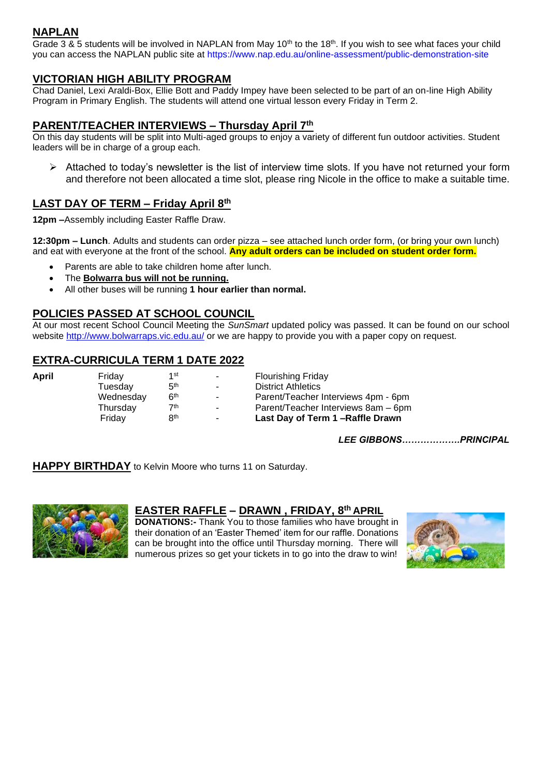### **NAPLAN**

Grade 3 & 5 students will be involved in NAPLAN from May  $10^{th}$  to the 18<sup>th</sup>. If you wish to see what faces your child you can access the NAPLAN public site at<https://www.nap.edu.au/online-assessment/public-demonstration-site>

#### **VICTORIAN HIGH ABILITY PROGRAM**

Chad Daniel, Lexi Araldi-Box, Ellie Bott and Paddy Impey have been selected to be part of an on-line High Ability Program in Primary English. The students will attend one virtual lesson every Friday in Term 2.

#### **PARENT/TEACHER INTERVIEWS – Thursday April 7th**

On this day students will be split into Multi-aged groups to enjoy a variety of different fun outdoor activities. Student leaders will be in charge of a group each.

 $\triangleright$  Attached to today's newsletter is the list of interview time slots. If you have not returned your form and therefore not been allocated a time slot, please ring Nicole in the office to make a suitable time.

#### **LAST DAY OF TERM – Friday April 8th**

**12pm –**Assembly including Easter Raffle Draw.

**12:30pm – Lunch**. Adults and students can order pizza – see attached lunch order form, (or bring your own lunch) and eat with everyone at the front of the school. **Any adult orders can be included on student order form.**

- Parents are able to take children home after lunch.
- The **Bolwarra bus will not be running.**
- All other buses will be running **1 hour earlier than normal.**

#### **POLICIES PASSED AT SCHOOL COUNCIL**

At our most recent School Council Meeting the *SunSmart* updated policy was passed. It can be found on our school website<http://www.bolwarraps.vic.edu.au/> or we are happy to provide you with a paper copy on request.

#### **EXTRA-CURRICULA TERM 1 DATE 2022**

| April | Fridav    | 1st             | ۰.             | Flourishing Friday                  |
|-------|-----------|-----------------|----------------|-------------------------------------|
|       | Tuesdav   | 5 <sup>th</sup> |                | <b>District Athletics</b>           |
|       | Wednesday | 6 <sup>th</sup> | $\sim$         | Parent/Teacher Interviews 4pm - 6pm |
|       | Thursday  | 7th             | $\blacksquare$ | Parent/Teacher Interviews 8am - 6pm |
|       | Fridav    | Яth             | $\blacksquare$ | Last Day of Term 1-Raffle Drawn     |

*LEE GIBBONS……………….PRINCIPAL*

**HAPPY BIRTHDAY** to Kelvin Moore who turns 11 on Saturday.



#### **EASTER RAFFLE – DRAWN , FRIDAY, 8th APRIL**

**DONATIONS:-** Thank You to those families who have brought in their donation of an 'Easter Themed' item for our raffle. Donations can be brought into the office until Thursday morning. There will numerous prizes so get your tickets in to go into the draw to win!